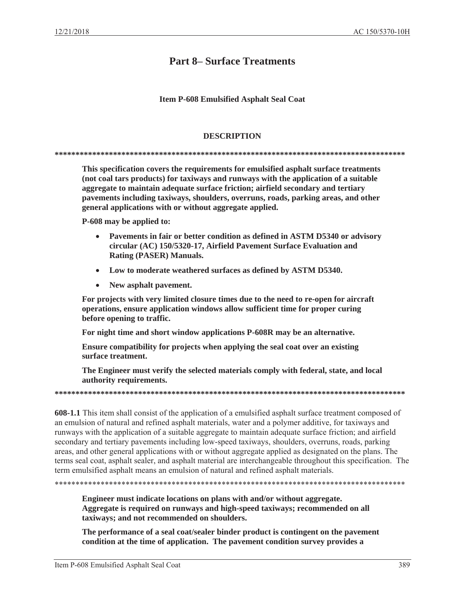# **Part 8-Surface Treatments**

## **Item P-608 Emulsified Asphalt Seal Coat**

## **DESCRIPTION**

This specification covers the requirements for emulsified asphalt surface treatments (not coal tars products) for taxiways and runways with the application of a suitable aggregate to maintain adequate surface friction; airfield secondary and tertiary pavements including taxiways, shoulders, overruns, roads, parking areas, and other general applications with or without aggregate applied.

P-608 may be applied to:

- $\bullet$ Pavements in fair or better condition as defined in ASTM D5340 or advisory circular (AC) 150/5320-17, Airfield Pavement Surface Evaluation and Rating (PASER) Manuals.
- Low to moderate weathered surfaces as defined by ASTM D5340.
- New asphalt pavement.  $\bullet$

For projects with very limited closure times due to the need to re-open for aircraft operations, ensure application windows allow sufficient time for proper curing before opening to traffic.

For night time and short window applications P-608R may be an alternative.

Ensure compatibility for projects when applying the seal coat over an existing surface treatment.

The Engineer must verify the selected materials comply with federal, state, and local authority requirements.

**608-1.1** This item shall consist of the application of a emulsified asphalt surface treatment composed of an emulsion of natural and refined asphalt materials, water and a polymer additive, for taxiways and runways with the application of a suitable aggregate to maintain adequate surface friction; and airfield secondary and tertiary pavements including low-speed taxiways, shoulders, overruns, roads, parking areas, and other general applications with or without aggregate applied as designated on the plans. The terms seal coat, asphalt sealer, and asphalt material are interchangeable throughout this specification. The term emulsified asphalt means an emulsion of natural and refined asphalt materials.

Engineer must indicate locations on plans with and/or without aggregate. Aggregate is required on runways and high-speed taxiways; recommended on all taxiways; and not recommended on shoulders.

The performance of a seal coat/sealer binder product is contingent on the pavement condition at the time of application. The pavement condition survey provides a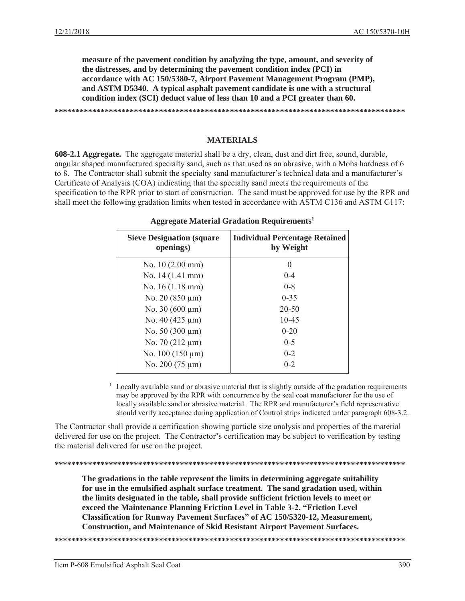**measure of the pavement condition by analyzing the type, amount, and severity of the distresses, and by determining the pavement condition index (PCI) in accordance with AC 150/5380-7, Airport Pavement Management Program (PMP), and ASTM D5340. A typical asphalt pavement candidate is one with a structural condition index (SCI) deduct value of less than 10 and a PCI greater than 60.** 

**\*\*\*\*\*\*\*\*\*\*\*\*\*\*\*\*\*\*\*\*\*\*\*\*\*\*\*\*\*\*\*\*\*\*\*\*\*\*\*\*\*\*\*\*\*\*\*\*\*\*\*\*\*\*\*\*\*\*\*\*\*\*\*\*\*\*\*\*\*\*\*\*\*\*\*\*\*\*\*\*\*\*\*\*** 

#### **MATERIALS**

**608-2.1 Aggregate.** The aggregate material shall be a dry, clean, dust and dirt free, sound, durable, angular shaped manufactured specialty sand, such as that used as an abrasive, with a Mohs hardness of 6 to 8. The Contractor shall submit the specialty sand manufacturer's technical data and a manufacturer's Certificate of Analysis (COA) indicating that the specialty sand meets the requirements of the specification to the RPR prior to start of construction. The sand must be approved for use by the RPR and shall meet the following gradation limits when tested in accordance with ASTM C136 and ASTM C117:

| <b>Sieve Designation (square)</b><br>openings) | <b>Individual Percentage Retained</b><br>by Weight |
|------------------------------------------------|----------------------------------------------------|
| No. $10(2.00 \text{ mm})$                      |                                                    |
| No. 14 (1.41 mm)                               | $0 - 4$                                            |
| No. $16(1.18 \text{ mm})$                      | $0 - 8$                                            |
| No. $20(850 \,\mathrm{\upmu m})$               | $0 - 35$                                           |
| No. 30 (600 $\mu$ m)                           | $20 - 50$                                          |
| No. 40 $(425 \mu m)$                           | $10 - 45$                                          |
| No. $50(300 \,\mu m)$                          | $0 - 20$                                           |
| No. 70 $(212 \mu m)$                           | $0 - 5$                                            |
| No. $100(150 \mu m)$                           | $0 - 2$                                            |
| No. 200 $(75 \mu m)$                           | $0 - 2$                                            |

## **Aggregate Material Gradation Requirements1**

1 Locally available sand or abrasive material that is slightly outside of the gradation requirements may be approved by the RPR with concurrence by the seal coat manufacturer for the use of locally available sand or abrasive material. The RPR and manufacturer's field representative should verify acceptance during application of Control strips indicated under paragraph 608-3.2.

The Contractor shall provide a certification showing particle size analysis and properties of the material delivered for use on the project. The Contractor's certification may be subject to verification by testing the material delivered for use on the project.

**\*\*\*\*\*\*\*\*\*\*\*\*\*\*\*\*\*\*\*\*\*\*\*\*\*\*\*\*\*\*\*\*\*\*\*\*\*\*\*\*\*\*\*\*\*\*\*\*\*\*\*\*\*\*\*\*\*\*\*\*\*\*\*\*\*\*\*\*\*\*\*\*\*\*\*\*\*\*\*\*\*\*\*\*** 

**The gradations in the table represent the limits in determining aggregate suitability for use in the emulsified asphalt surface treatment. The sand gradation used, within the limits designated in the table, shall provide sufficient friction levels to meet or exceed the Maintenance Planning Friction Level in Table 3-2, "Friction Level Classification for Runway Pavement Surfaces" of AC 150/5320-12, Measurement, Construction, and Maintenance of Skid Resistant Airport Pavement Surfaces.** 

**\*\*\*\*\*\*\*\*\*\*\*\*\*\*\*\*\*\*\*\*\*\*\*\*\*\*\*\*\*\*\*\*\*\*\*\*\*\*\*\*\*\*\*\*\*\*\*\*\*\*\*\*\*\*\*\*\*\*\*\*\*\*\*\*\*\*\*\*\*\*\*\*\*\*\*\*\*\*\*\*\*\*\*\***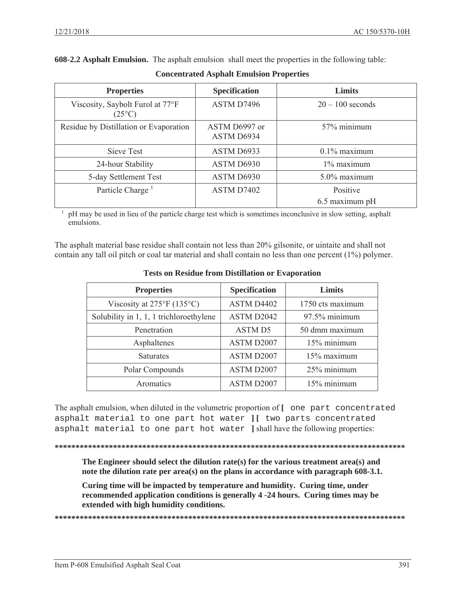**608-2.2 Asphalt Emulsion.** The asphalt emulsion shall meet the properties in the following table:

| <b>Properties</b>                                   | <b>Specification</b>        | <b>Limits</b>      |
|-----------------------------------------------------|-----------------------------|--------------------|
| Viscosity, Saybolt Furol at 77°F<br>$(25^{\circ}C)$ | ASTM D7496                  | $20 - 100$ seconds |
| Residue by Distillation or Evaporation              | ASTM D6997 or<br>ASTM D6934 | 57% minimum        |
| Sieve Test                                          | ASTM D6933                  | $0.1\%$ maximum    |
| 24-hour Stability                                   | ASTM D6930                  | $1\%$ maximum      |
| 5-day Settlement Test                               | ASTM D6930                  | 5.0% maximum       |
| Particle Charge <sup>1</sup>                        | ASTM D7402                  | Positive           |
|                                                     |                             | 6.5 maximum pH     |

**Concentrated Asphalt Emulsion Properties** 

 $\frac{1}{1}$  pH may be used in lieu of the particle charge test which is sometimes inconclusive in slow setting, asphalt emulsions.

The asphalt material base residue shall contain not less than 20% gilsonite, or uintaite and shall not contain any tall oil pitch or coal tar material and shall contain no less than one percent (1%) polymer.

| <b>Properties</b>                         | <b>Specification</b> | Limits           |
|-------------------------------------------|----------------------|------------------|
| Viscosity at $275^{\circ}F(135^{\circ}C)$ | ASTM D4402           | 1750 cts maximum |
| Solubility in 1, 1, 1 trichloroethylene   | ASTM D2042           | 97.5% minimum    |
| Penetration                               | <b>ASTM D5</b>       | 50 dmm maximum   |
| Asphaltenes                               | ASTM D2007           | 15% minimum      |
| <b>Saturates</b>                          | ASTM D2007           | 15% maximum      |
| Polar Compounds                           | ASTM D2007           | 25% minimum      |
| Aromatics                                 | ASTM D2007           | 15% minimum      |

## **Tests on Residue from Distillation or Evaporation**

The asphalt emulsion, when diluted in the volumetric proportion of [ one part concentrated asphalt material to one part hot water ][ two parts concentrated asphalt material to one part hot water ] shall have the following properties:

The Engineer should select the dilution rate(s) for the various treatment area(s) and note the dilution rate per  $area(s)$  on the plans in accordance with paragraph 608-3.1.

Curing time will be impacted by temperature and humidity. Curing time, under recommended application conditions is generally 4-24 hours. Curing times may be extended with high humidity conditions.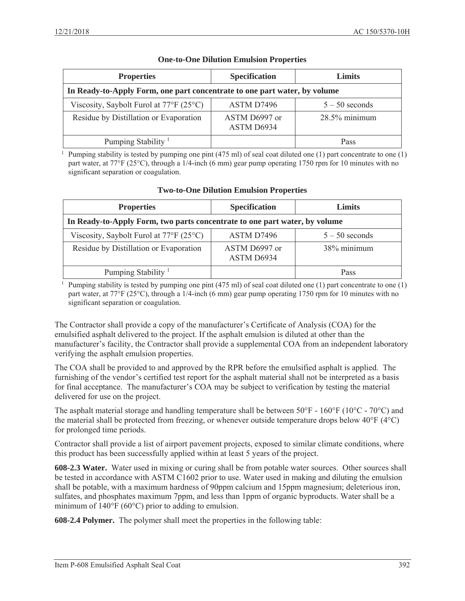| <b>Properties</b>                                                         | <b>Specification</b>        | Limits           |
|---------------------------------------------------------------------------|-----------------------------|------------------|
| In Ready-to-Apply Form, one part concentrate to one part water, by volume |                             |                  |
| Viscosity, Saybolt Furol at $77^{\circ}$ F (25 <sup>o</sup> C)            | ASTM D7496                  | $5 - 50$ seconds |
| Residue by Distillation or Evaporation                                    | ASTM D6997 or<br>ASTM D6934 | $28.5\%$ minimum |
| Pumping Stability <sup>1</sup>                                            |                             | Pass             |

## **One-to-One Dilution Emulsion Properties**

<sup>1</sup> Pumping stability is tested by pumping one pint (475 ml) of seal coat diluted one (1) part concentrate to one (1) part water, at 77°F (25°C), through a 1/4-inch (6 mm) gear pump operating 1750 rpm for 10 minutes with no significant separation or coagulation.

| <b>Properties</b>                                                          | <b>Specification</b>        | Limits           |
|----------------------------------------------------------------------------|-----------------------------|------------------|
| In Ready-to-Apply Form, two parts concentrate to one part water, by volume |                             |                  |
| Viscosity, Saybolt Furol at $77^{\circ}$ F (25 <sup>o</sup> C)             | ASTM D7496                  | $5 - 50$ seconds |
| Residue by Distillation or Evaporation                                     | ASTM D6997 or<br>ASTM D6934 | 38% minimum      |
| Pumping Stability <sup>1</sup>                                             |                             | Pass             |

## **Two-to-One Dilution Emulsion Properties**

<sup>1</sup> Pumping stability is tested by pumping one pint (475 ml) of seal coat diluted one (1) part concentrate to one (1) part water, at 77°F (25°C), through a 1/4-inch (6 mm) gear pump operating 1750 rpm for 10 minutes with no significant separation or coagulation.

The Contractor shall provide a copy of the manufacturer's Certificate of Analysis (COA) for the emulsified asphalt delivered to the project. If the asphalt emulsion is diluted at other than the manufacturer's facility, the Contractor shall provide a supplemental COA from an independent laboratory verifying the asphalt emulsion properties.

The COA shall be provided to and approved by the RPR before the emulsified asphalt is applied. The furnishing of the vendor's certified test report for the asphalt material shall not be interpreted as a basis for final acceptance. The manufacturer's COA may be subject to verification by testing the material delivered for use on the project.

The asphalt material storage and handling temperature shall be between  $50^{\circ}$ F -  $160^{\circ}$ F ( $10^{\circ}$ C -  $70^{\circ}$ C) and the material shall be protected from freezing, or whenever outside temperature drops below 40°F (4°C) for prolonged time periods.

Contractor shall provide a list of airport pavement projects, exposed to similar climate conditions, where this product has been successfully applied within at least 5 years of the project.

**608-2.3 Water.** Water used in mixing or curing shall be from potable water sources. Other sources shall be tested in accordance with ASTM C1602 prior to use. Water used in making and diluting the emulsion shall be potable, with a maximum hardness of 90ppm calcium and 15ppm magnesium; deleterious iron, sulfates, and phosphates maximum 7ppm, and less than 1ppm of organic byproducts. Water shall be a minimum of 140°F (60°C) prior to adding to emulsion.

**608-2.4 Polymer.** The polymer shall meet the properties in the following table: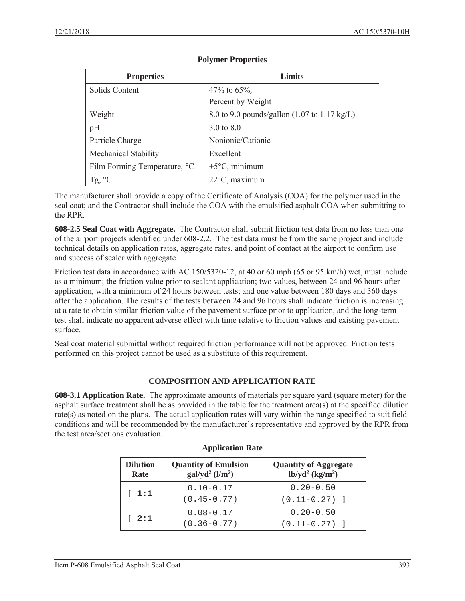| <b>Properties</b>            | Limits                                                          |
|------------------------------|-----------------------------------------------------------------|
| Solids Content               | 47\% to 65\%,                                                   |
|                              | Percent by Weight                                               |
| Weight                       | 8.0 to 9.0 pounds/gallon $(1.07 \text{ to } 1.17 \text{ kg/L})$ |
| pH                           | 3.0 to 8.0                                                      |
| Particle Charge              | Nonionic/Cationic                                               |
| Mechanical Stability         | Excellent                                                       |
| Film Forming Temperature, °C | $+5^{\circ}$ C, minimum                                         |
| Tg, $^{\circ}C$              | $22^{\circ}$ C, maximum                                         |

## **Polymer Properties**

The manufacturer shall provide a copy of the Certificate of Analysis (COA) for the polymer used in the seal coat; and the Contractor shall include the COA with the emulsified asphalt COA when submitting to the RPR.

**608-2.5 Seal Coat with Aggregate.** The Contractor shall submit friction test data from no less than one of the airport projects identified under 608-2.2. The test data must be from the same project and include technical details on application rates, aggregate rates, and point of contact at the airport to confirm use and success of sealer with aggregate.

Friction test data in accordance with AC 150/5320-12, at 40 or 60 mph (65 or 95 km/h) wet, must include as a minimum; the friction value prior to sealant application; two values, between 24 and 96 hours after application, with a minimum of 24 hours between tests; and one value between 180 days and 360 days after the application. The results of the tests between 24 and 96 hours shall indicate friction is increasing at a rate to obtain similar friction value of the pavement surface prior to application, and the long-term test shall indicate no apparent adverse effect with time relative to friction values and existing pavement surface.

Seal coat material submittal without required friction performance will not be approved. Friction tests performed on this project cannot be used as a substitute of this requirement.

# **COMPOSITION AND APPLICATION RATE**

**608-3.1 Application Rate.** The approximate amounts of materials per square yard (square meter) for the asphalt surface treatment shall be as provided in the table for the treatment area(s) at the specified dilution rate(s) as noted on the plans. The actual application rates will vary within the range specified to suit field conditions and will be recommended by the manufacturer's representative and approved by the RPR from the test area/sections evaluation.

| <b>Dilution</b><br>Rate | <b>Quantity of Emulsion</b><br>$gal/yd^2$ (l/m <sup>2</sup> ) | <b>Quantity of Aggregate</b><br>$lb/yd^2$ (kg/m <sup>2</sup> ) |
|-------------------------|---------------------------------------------------------------|----------------------------------------------------------------|
| 1:1                     | $0.10 - 0.17$<br>$(0.45 - 0.77)$                              | $0.20 - 0.50$<br>$(0.11 - 0.27)$ ]                             |
| 2:1                     | $0.08 - 0.17$<br>$(0.36 - 0.77)$                              | $0.20 - 0.50$<br>$(0.11 - 0.27)$ ]                             |

## **Application Rate**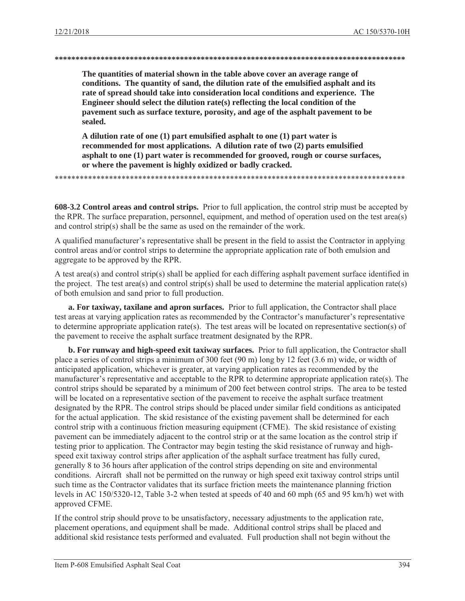#### 

The quantities of material shown in the table above cover an average range of conditions. The quantity of sand, the dilution rate of the emulsified asphalt and its rate of spread should take into consideration local conditions and experience. The Engineer should select the dilution rate(s) reflecting the local condition of the pavement such as surface texture, porosity, and age of the asphalt pavement to be sealed.

A dilution rate of one (1) part emulsified asphalt to one (1) part water is recommended for most applications. A dilution rate of two (2) parts emulsified asphalt to one (1) part water is recommended for grooved, rough or course surfaces, or where the pavement is highly oxidized or badly cracked.

608-3.2 Control areas and control strips. Prior to full application, the control strip must be accepted by the RPR. The surface preparation, personnel, equipment, and method of operation used on the test area(s) and control strip(s) shall be the same as used on the remainder of the work.

A qualified manufacturer's representative shall be present in the field to assist the Contractor in applying control areas and/or control strips to determine the appropriate application rate of both emulsion and aggregate to be approved by the RPR.

A test area(s) and control strip(s) shall be applied for each differing asphalt payement surface identified in the project. The test area(s) and control strip(s) shall be used to determine the material application rate(s) of both emulsion and sand prior to full production.

a. For taxiway, taxilane and apron surfaces. Prior to full application, the Contractor shall place test areas at varying application rates as recommended by the Contractor's manufacturer's representative to determine appropriate application rate(s). The test areas will be located on representative section(s) of the pavement to receive the asphalt surface treatment designated by the RPR.

**b. For runway and high-speed exit taxiway surfaces.** Prior to full application, the Contractor shall place a series of control strips a minimum of 300 feet (90 m) long by 12 feet (3.6 m) wide, or width of anticipated application, whichever is greater, at varying application rates as recommended by the manufacturer's representative and acceptable to the RPR to determine appropriate application rate(s). The control strips should be separated by a minimum of 200 feet between control strips. The area to be tested will be located on a representative section of the payement to receive the asphalt surface treatment designated by the RPR. The control strips should be placed under similar field conditions as anticipated for the actual application. The skid resistance of the existing pavement shall be determined for each control strip with a continuous friction measuring equipment (CFME). The skid resistance of existing payement can be immediately adjacent to the control strip or at the same location as the control strip if testing prior to application. The Contractor may begin testing the skid resistance of runway and highspeed exit taxiway control strips after application of the asphalt surface treatment has fully cured, generally 8 to 36 hours after application of the control strips depending on site and environmental conditions. Aircraft shall not be permitted on the runway or high speed exit taxiway control strips until such time as the Contractor validates that its surface friction meets the maintenance planning friction levels in AC 150/5320-12, Table 3-2 when tested at speeds of 40 and 60 mph (65 and 95 km/h) wet with approved CFME.

If the control strip should prove to be unsatisfactory, necessary adjustments to the application rate, placement operations, and equipment shall be made. Additional control strips shall be placed and additional skid resistance tests performed and evaluated. Full production shall not begin without the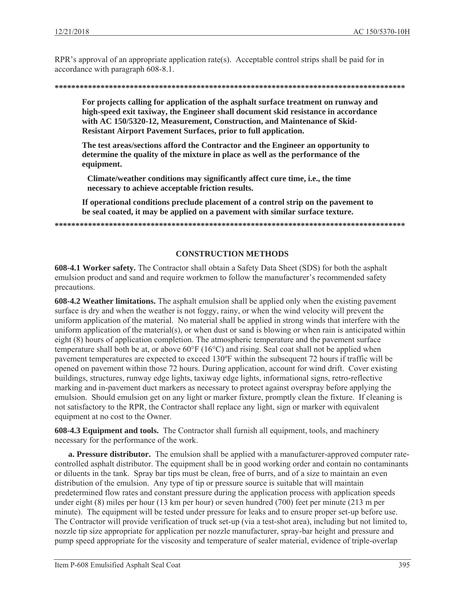RPR's approval of an appropriate application rate(s). Acceptable control strips shall be paid for in accordance with paragraph 608-8.1.

#### 

For projects calling for application of the asphalt surface treatment on runway and high-speed exit taxiway, the Engineer shall document skid resistance in accordance with AC 150/5320-12, Measurement, Construction, and Maintenance of Skid-**Resistant Airport Pavement Surfaces, prior to full application.** 

The test areas/sections afford the Contractor and the Engineer an opportunity to determine the quality of the mixture in place as well as the performance of the equipment.

Climate/weather conditions may significantly affect cure time, i.e., the time necessary to achieve acceptable friction results.

If operational conditions preclude placement of a control strip on the pavement to be seal coated, it may be applied on a pavement with similar surface texture.

## **CONSTRUCTION METHODS**

608-4.1 Worker safety. The Contractor shall obtain a Safety Data Sheet (SDS) for both the asphalt emulsion product and sand and require workmen to follow the manufacturer's recommended safety precautions.

608-4.2 Weather limitations. The asphalt emulsion shall be applied only when the existing pavement surface is dry and when the weather is not foggy, rainy, or when the wind velocity will prevent the uniform application of the material. No material shall be applied in strong winds that interfere with the uniform application of the material(s), or when dust or sand is blowing or when rain is anticipated within eight (8) hours of application completion. The atmospheric temperature and the pavement surface temperature shall both be at, or above  $60^{\circ}F(16^{\circ}C)$  and rising. Seal coat shall not be applied when pavement temperatures are expected to exceed 130°F within the subsequent 72 hours if traffic will be opened on payement within those 72 hours. During application, account for wind drift. Cover existing buildings, structures, runway edge lights, taxiway edge lights, informational signs, retro-reflective marking and in-pavement duct markers as necessary to protect against overspray before applying the emulsion. Should emulsion get on any light or marker fixture, promptly clean the fixture. If cleaning is not satisfactory to the RPR, the Contractor shall replace any light, sign or marker with equivalent equipment at no cost to the Owner.

**608-4.3 Equipment and tools.** The Contractor shall furnish all equipment, tools, and machinery necessary for the performance of the work.

**a. Pressure distributor.** The emulsion shall be applied with a manufacturer-approved computer ratecontrolled asphalt distributor. The equipment shall be in good working order and contain no contaminants or diluents in the tank. Spray bar tips must be clean, free of burrs, and of a size to maintain an even distribution of the emulsion. Any type of tip or pressure source is suitable that will maintain predetermined flow rates and constant pressure during the application process with application speeds under eight  $(8)$  miles per hour  $(13 \text{ km per hour})$  or seven hundred  $(700)$  feet per minute  $(213 \text{ m per})$ minute). The equipment will be tested under pressure for leaks and to ensure proper set-up before use. The Contractor will provide verification of truck set-up (via a test-shot area), including but not limited to, nozzle tip size appropriate for application per nozzle manufacturer, spray-bar height and pressure and pump speed appropriate for the viscosity and temperature of sealer material, evidence of triple-overlap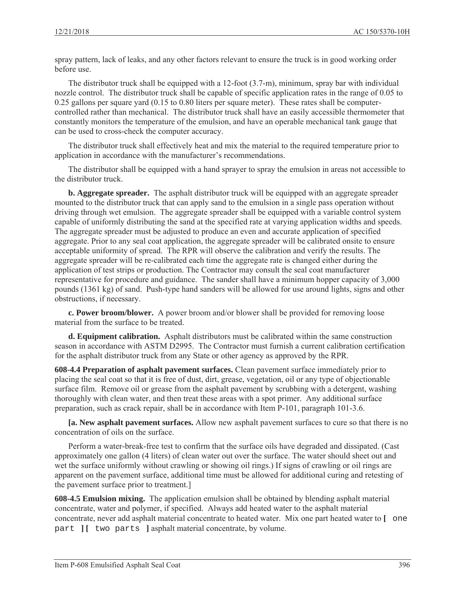spray pattern, lack of leaks, and any other factors relevant to ensure the truck is in good working order before use.

The distributor truck shall be equipped with a 12-foot (3.7-m), minimum, spray bar with individual nozzle control. The distributor truck shall be capable of specific application rates in the range of 0.05 to 0.25 gallons per square yard (0.15 to 0.80 liters per square meter). These rates shall be computercontrolled rather than mechanical. The distributor truck shall have an easily accessible thermometer that constantly monitors the temperature of the emulsion, and have an operable mechanical tank gauge that can be used to cross-check the computer accuracy.

The distributor truck shall effectively heat and mix the material to the required temperature prior to application in accordance with the manufacturer's recommendations.

The distributor shall be equipped with a hand sprayer to spray the emulsion in areas not accessible to the distributor truck.

**b. Aggregate spreader.** The asphalt distributor truck will be equipped with an aggregate spreader mounted to the distributor truck that can apply sand to the emulsion in a single pass operation without driving through wet emulsion. The aggregate spreader shall be equipped with a variable control system capable of uniformly distributing the sand at the specified rate at varying application widths and speeds. The aggregate spreader must be adjusted to produce an even and accurate application of specified aggregate. Prior to any seal coat application, the aggregate spreader will be calibrated onsite to ensure acceptable uniformity of spread. The RPR will observe the calibration and verify the results. The aggregate spreader will be re-calibrated each time the aggregate rate is changed either during the application of test strips or production. The Contractor may consult the seal coat manufacturer representative for procedure and guidance. The sander shall have a minimum hopper capacity of 3,000 pounds (1361 kg) of sand. Push-type hand sanders will be allowed for use around lights, signs and other obstructions, if necessary.

**c. Power broom/blower.** A power broom and/or blower shall be provided for removing loose material from the surface to be treated.

**d. Equipment calibration.** Asphalt distributors must be calibrated within the same construction season in accordance with ASTM D2995. The Contractor must furnish a current calibration certification for the asphalt distributor truck from any State or other agency as approved by the RPR.

**608-4.4 Preparation of asphalt pavement surfaces.** Clean pavement surface immediately prior to placing the seal coat so that it is free of dust, dirt, grease, vegetation, oil or any type of objectionable surface film. Remove oil or grease from the asphalt pavement by scrubbing with a detergent, washing thoroughly with clean water, and then treat these areas with a spot primer. Any additional surface preparation, such as crack repair, shall be in accordance with Item P-101, paragraph 101-3.6.

**[a. New asphalt pavement surfaces.** Allow new asphalt pavement surfaces to cure so that there is no concentration of oils on the surface.

Perform a water-break-free test to confirm that the surface oils have degraded and dissipated. (Cast approximately one gallon (4 liters) of clean water out over the surface. The water should sheet out and wet the surface uniformly without crawling or showing oil rings.) If signs of crawling or oil rings are apparent on the pavement surface, additional time must be allowed for additional curing and retesting of the pavement surface prior to treatment.]

**608-4.5 Emulsion mixing.** The application emulsion shall be obtained by blending asphalt material concentrate, water and polymer, if specified. Always add heated water to the asphalt material concentrate, never add asphalt material concentrate to heated water. Mix one part heated water to **[** one part  $\begin{bmatrix} \end{bmatrix}$  two parts lasphalt material concentrate, by volume.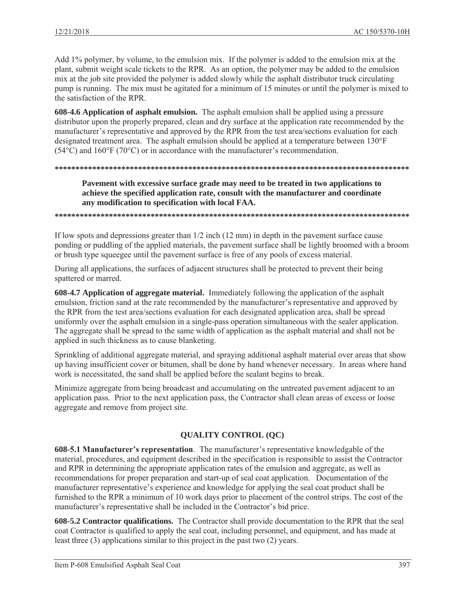Add 1% polymer, by volume, to the emulsion mix. If the polymer is added to the emulsion mix at the plant, submit weight scale tickets to the RPR. As an option, the polymer may be added to the emulsion mix at the job site provided the polymer is added slowly while the asphalt distributor truck circulating pump is running. The mix must be agitated for a minimum of 15 minutes or until the polymer is mixed to the satisfaction of the RPR

608-4.6 Application of asphalt emulsion. The asphalt emulsion shall be applied using a pressure distributor upon the properly prepared, clean and dry surface at the application rate recommended by the manufacturer's representative and approved by the RPR from the test area/sections evaluation for each designated treatment area. The asphalt emulsion should be applied at a temperature between 130°F  $(54^{\circ}$ C) and  $160^{\circ}$ F (70 $^{\circ}$ C) or in accordance with the manufacturer's recommendation.

Pavement with excessive surface grade may need to be treated in two applications to achieve the specified application rate, consult with the manufacturer and coordinate any modification to specification with local FAA.

If low spots and depressions greater than  $1/2$  inch  $(12 \text{ mm})$  in depth in the pavement surface cause ponding or puddling of the applied materials, the pavement surface shall be lightly broomed with a broom or brush type squeegee until the payement surface is free of any pools of excess material.

During all applications, the surfaces of adjacent structures shall be protected to prevent their being spattered or marred.

608-4.7 Application of aggregate material. Immediately following the application of the asphalt emulsion, friction sand at the rate recommended by the manufacturer's representative and approved by the RPR from the test area/sections evaluation for each designated application area, shall be spread uniformly over the asphalt emulsion in a single-pass operation simultaneous with the sealer application. The aggregate shall be spread to the same width of application as the asphalt material and shall not be applied in such thickness as to cause blanketing.

Sprinkling of additional aggregate material, and spraying additional asphalt material over areas that show up having insufficient cover or bitumen, shall be done by hand whenever necessary. In areas where hand work is necessitated, the sand shall be applied before the sealant begins to break.

Minimize aggregate from being broadcast and accumulating on the untreated pavement adjacent to an application pass. Prior to the next application pass, the Contractor shall clean areas of excess or loose aggregate and remove from project site.

## **OUALITY CONTROL (OC)**

608-5.1 Manufacturer's representation. The manufacturer's representative knowledgable of the material, procedures, and equipment described in the specification is responsible to assist the Contractor and RPR in determining the appropriate application rates of the emulsion and aggregate, as well as recommendations for proper preparation and start-up of seal coat application. Documentation of the manufacturer representative's experience and knowledge for applying the seal coat product shall be furnished to the RPR a minimum of 10 work days prior to placement of the control strips. The cost of the manufacturer's representative shall be included in the Contractor's bid price.

608-5.2 Contractor qualifications. The Contractor shall provide documentation to the RPR that the seal coat Contractor is qualified to apply the seal coat, including personnel, and equipment, and has made at least three  $(3)$  applications similar to this project in the past two  $(2)$  years.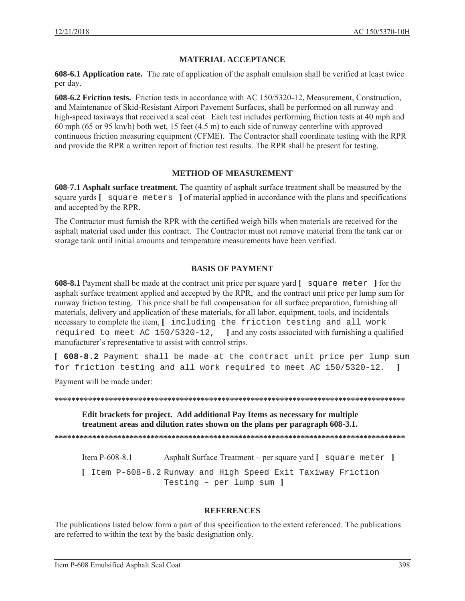## **MATERIAL ACCEPTANCE**

**608-6.1 Application rate.** The rate of application of the asphalt emulsion shall be verified at least twice per day.

**608-6.2 Friction tests.** Friction tests in accordance with AC 150/5320-12, Measurement, Construction, and Maintenance of Skid-Resistant Airport Pavement Surfaces, shall be performed on all runway and high-speed taxiways that received a seal coat. Each test includes performing friction tests at 40 mph and 60 mph (65 or 95 km/h) both wet, 15 feet (4.5 m) to each side of runway centerline with approved continuous friction measuring equipment (CFME). The Contractor shall coordinate testing with the RPR and provide the RPR a written report of friction test results. The RPR shall be present for testing.

## **METHOD OF MEASUREMENT**

**608-7.1 Asphalt surface treatment.** The quantity of asphalt surface treatment shall be measured by the square yards **[** square meters **]** of material applied in accordance with the plans and specifications and accepted by the RPR.

The Contractor must furnish the RPR with the certified weigh bills when materials are received for the asphalt material used under this contract. The Contractor must not remove material from the tank car or storage tank until initial amounts and temperature measurements have been verified.

### **BASIS OF PAYMENT**

**608-8.1** Payment shall be made at the contract unit price per square yard **[** square meter **]** for the asphalt surface treatment applied and accepted by the RPR, and the contract unit price per lump sum for runway friction testing. This price shall be full compensation for all surface preparation, furnishing all materials, delivery and application of these materials, for all labor, equipment, tools, and incidentals necessary to complete the item, **[** including the friction testing and all work required to meet AC 150/5320-12, **]** and any costs associated with furnishing a qualified manufacturer's representative to assist with control strips.

**[ 608-8.2** Payment shall be made at the contract unit price per lump sum for friction testing and all work required to meet AC 150/5320-12. **]**

Payment will be made under:

**\*\*\*\*\*\*\*\*\*\*\*\*\*\*\*\*\*\*\*\*\*\*\*\*\*\*\*\*\*\*\*\*\*\*\*\*\*\*\*\*\*\*\*\*\*\*\*\*\*\*\*\*\*\*\*\*\*\*\*\*\*\*\*\*\*\*\*\*\*\*\*\*\*\*\*\*\*\*\*\*\*\*\*\*** 

**Edit brackets for project. Add additional Pay Items as necessary for multiple treatment areas and dilution rates shown on the plans per paragraph 608-3.1.** 

**\*\*\*\*\*\*\*\*\*\*\*\*\*\*\*\*\*\*\*\*\*\*\*\*\*\*\*\*\*\*\*\*\*\*\*\*\*\*\*\*\*\*\*\*\*\*\*\*\*\*\*\*\*\*\*\*\*\*\*\*\*\*\*\*\*\*\*\*\*\*\*\*\*\*\*\*\*\*\*\*\*\*\*\*** 

Item P-608-8.1 Asphalt Surface Treatment – per square yard **[** square meter **] [** Item P-608-8.2 Runway and High Speed Exit Taxiway Friction Testing – per lump sum **]**

### **REFERENCES**

The publications listed below form a part of this specification to the extent referenced. The publications are referred to within the text by the basic designation only.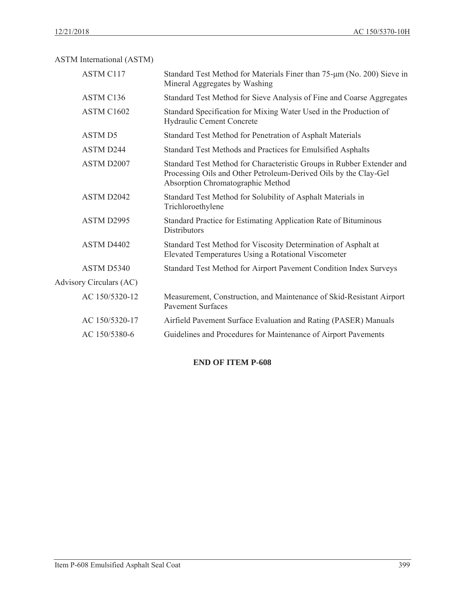ASTM International (ASTM)

| <b>ASTM C117</b>        | Standard Test Method for Materials Finer than 75-um (No. 200) Sieve in<br>Mineral Aggregates by Washing                                                                        |
|-------------------------|--------------------------------------------------------------------------------------------------------------------------------------------------------------------------------|
| ASTM C136               | Standard Test Method for Sieve Analysis of Fine and Coarse Aggregates                                                                                                          |
| ASTM C1602              | Standard Specification for Mixing Water Used in the Production of<br>Hydraulic Cement Concrete                                                                                 |
| <b>ASTMD5</b>           | Standard Test Method for Penetration of Asphalt Materials                                                                                                                      |
| <b>ASTM D244</b>        | Standard Test Methods and Practices for Emulsified Asphalts                                                                                                                    |
| ASTM D2007              | Standard Test Method for Characteristic Groups in Rubber Extender and<br>Processing Oils and Other Petroleum-Derived Oils by the Clay-Gel<br>Absorption Chromatographic Method |
| ASTM D2042              | Standard Test Method for Solubility of Asphalt Materials in<br>Trichloroethylene                                                                                               |
| ASTM D2995              | Standard Practice for Estimating Application Rate of Bituminous<br><b>Distributors</b>                                                                                         |
| ASTM D4402              | Standard Test Method for Viscosity Determination of Asphalt at<br>Elevated Temperatures Using a Rotational Viscometer                                                          |
| ASTM D5340              | Standard Test Method for Airport Pavement Condition Index Surveys                                                                                                              |
| Advisory Circulars (AC) |                                                                                                                                                                                |
| AC 150/5320-12          | Measurement, Construction, and Maintenance of Skid-Resistant Airport<br><b>Pavement Surfaces</b>                                                                               |
| AC 150/5320-17          | Airfield Pavement Surface Evaluation and Rating (PASER) Manuals                                                                                                                |
| AC 150/5380-6           | Guidelines and Procedures for Maintenance of Airport Pavements                                                                                                                 |

# **END OF ITEM P-608**